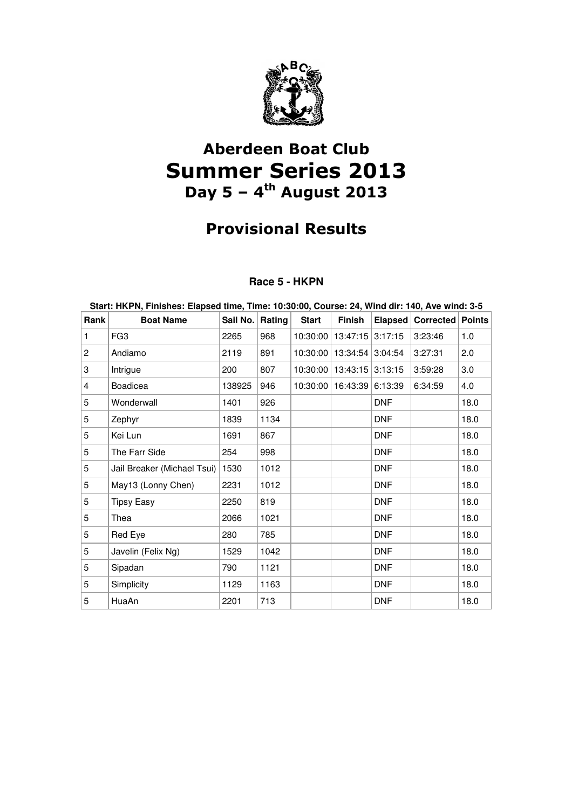

# Aberdeen Boat Club Summer Series 2013 Day  $5 - 4$ <sup>th</sup> August 2013

# Provisional Results

### **Race 5 - HKPN**

| Start: HKPN, Finishes: Elapsed time, Time: 10:30:00, Course: 24, Wind dir: 140, Ave wind: 3-5 |                             |          |        |              |                               |                |                         |      |  |
|-----------------------------------------------------------------------------------------------|-----------------------------|----------|--------|--------------|-------------------------------|----------------|-------------------------|------|--|
| Rank                                                                                          | <b>Boat Name</b>            | Sail No. | Rating | <b>Start</b> | Finish                        | <b>Elapsed</b> | <b>Corrected Points</b> |      |  |
| 1                                                                                             | FG <sub>3</sub>             | 2265     | 968    |              | 10:30:00   13:47:15   3:17:15 |                | 3:23:46                 | 1.0  |  |
| 2                                                                                             | Andiamo                     | 2119     | 891    |              | 10:30:00   13:34:54   3:04:54 |                | 3:27:31                 | 2.0  |  |
| 3                                                                                             | Intrigue                    | 200      | 807    |              | 10:30:00   13:43:15   3:13:15 |                | 3:59:28                 | 3.0  |  |
| 4                                                                                             | <b>Boadicea</b>             | 138925   | 946    |              | 10:30:00   16:43:39   6:13:39 |                | 6:34:59                 | 4.0  |  |
| 5                                                                                             | Wonderwall                  | 1401     | 926    |              |                               | <b>DNF</b>     |                         | 18.0 |  |
| 5                                                                                             | Zephyr                      | 1839     | 1134   |              |                               | <b>DNF</b>     |                         | 18.0 |  |
| 5                                                                                             | Kei Lun                     | 1691     | 867    |              |                               | <b>DNF</b>     |                         | 18.0 |  |
| 5                                                                                             | The Farr Side               | 254      | 998    |              |                               | <b>DNF</b>     |                         | 18.0 |  |
| 5                                                                                             | Jail Breaker (Michael Tsui) | 1530     | 1012   |              |                               | <b>DNF</b>     |                         | 18.0 |  |
| 5                                                                                             | May13 (Lonny Chen)          | 2231     | 1012   |              |                               | <b>DNF</b>     |                         | 18.0 |  |
| 5                                                                                             | <b>Tipsy Easy</b>           | 2250     | 819    |              |                               | <b>DNF</b>     |                         | 18.0 |  |
| 5                                                                                             | Thea                        | 2066     | 1021   |              |                               | <b>DNF</b>     |                         | 18.0 |  |
| 5                                                                                             | Red Eye                     | 280      | 785    |              |                               | <b>DNF</b>     |                         | 18.0 |  |
| 5                                                                                             | Javelin (Felix Ng)          | 1529     | 1042   |              |                               | <b>DNF</b>     |                         | 18.0 |  |
| 5                                                                                             | Sipadan                     | 790      | 1121   |              |                               | <b>DNF</b>     |                         | 18.0 |  |
| 5                                                                                             | Simplicity                  | 1129     | 1163   |              |                               | <b>DNF</b>     |                         | 18.0 |  |
| 5                                                                                             | HuaAn                       | 2201     | 713    |              |                               | <b>DNF</b>     |                         | 18.0 |  |